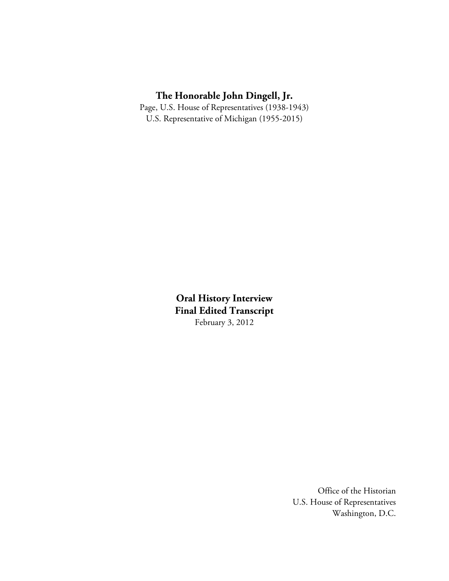### **The Honorable John Dingell, Jr.**

Page, U.S. House of Representatives (1938-1943) U.S. Representative of Michigan (1955-2015)

> **Oral History Interview Final Edited Transcript**  February 3, 2012

> > Office of the Historian U.S. House of Representatives Washington, D.C.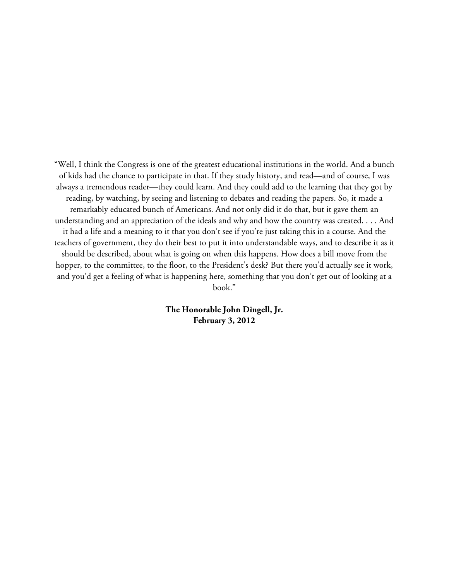"Well, I think the Congress is one of the greatest educational institutions in the world. And a bunch of kids had the chance to participate in that. If they study history, and read—and of course, I was always a tremendous reader—they could learn. And they could add to the learning that they got by reading, by watching, by seeing and listening to debates and reading the papers. So, it made a remarkably educated bunch of Americans. And not only did it do that, but it gave them an understanding and an appreciation of the ideals and why and how the country was created. . . . And it had a life and a meaning to it that you don't see if you're just taking this in a course. And the teachers of government, they do their best to put it into understandable ways, and to describe it as it should be described, about what is going on when this happens. How does a bill move from the hopper, to the committee, to the floor, to the President's desk? But there you'd actually see it work, and you'd get a feeling of what is happening here, something that you don't get out of looking at a book."

> **The Honorable John Dingell, Jr. February 3, 2012**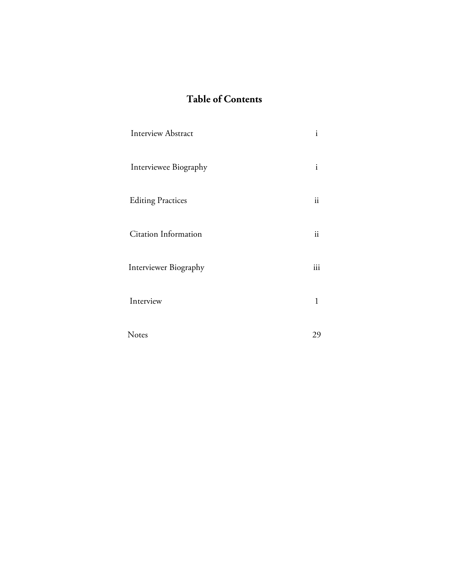# **Table of Contents**

| <b>Interview Abstract</b> | $\mathbf{i}$ |
|---------------------------|--------------|
| Interviewee Biography     | $\mathbf{i}$ |
| <b>Editing Practices</b>  | ii           |
| Citation Information      | ii           |
| Interviewer Biography     | iii          |
| Interview                 | 1            |
| Notes                     | 29           |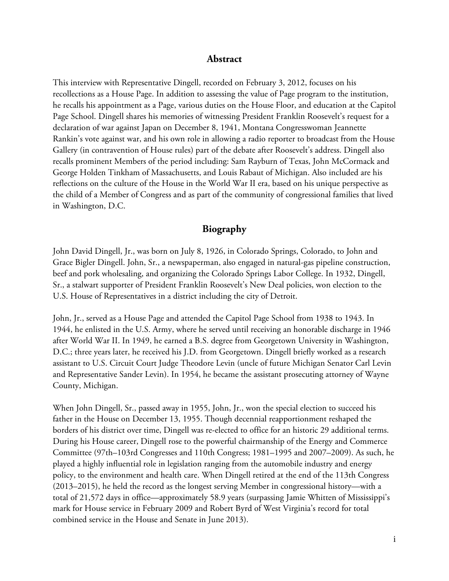#### **Abstract**

This interview with Representative Dingell, recorded on February 3, 2012, focuses on his recollections as a House Page. In addition to assessing the value of Page program to the institution, he recalls his appointment as a Page, various duties on the House Floor, and education at the Capitol Page School. Dingell shares his memories of witnessing President Franklin Roosevelt's request for a declaration of war against Japan on December 8, 1941, Montana Congresswoman Jeannette Rankin's vote against war, and his own role in allowing a radio reporter to broadcast from the House Gallery (in contravention of House rules) part of the debate after Roosevelt's address. Dingell also recalls prominent Members of the period including: Sam Rayburn of Texas, John McCormack and George Holden Tinkham of Massachusetts, and Louis Rabaut of Michigan. Also included are his reflections on the culture of the House in the World War II era, based on his unique perspective as the child of a Member of Congress and as part of the community of congressional families that lived in Washington, D.C.

### **Biography**

John David Dingell, Jr., was born on July 8, 1926, in Colorado Springs, Colorado, to John and Grace Bigler Dingell. John, Sr., a newspaperman, also engaged in natural-gas pipeline construction, beef and pork wholesaling, and organizing the Colorado Springs Labor College. In 1932, Dingell, Sr., a stalwart supporter of President Franklin Roosevelt's New Deal policies, won election to the U.S. House of Representatives in a district including the city of Detroit.

John, Jr., served as a House Page and attended the Capitol Page School from 1938 to 1943. In 1944, he enlisted in the U.S. Army, where he served until receiving an honorable discharge in 1946 after World War II. In 1949, he earned a B.S. degree from Georgetown University in Washington, D.C.; three years later, he received his J.D. from Georgetown. Dingell briefly worked as a research assistant to U.S. Circuit Court Judge Theodore Levin (uncle of future Michigan Senator Carl Levin and Representative Sander Levin). In 1954, he became the assistant prosecuting attorney of Wayne County, Michigan.

When John Dingell, Sr., passed away in 1955, John, Jr., won the special election to succeed his father in the House on December 13, 1955. Though decennial reapportionment reshaped the borders of his district over time, Dingell was re-elected to office for an historic 29 additional terms. During his House career, Dingell rose to the powerful chairmanship of the Energy and Commerce Committee (97th–103rd Congresses and 110th Congress; 1981–1995 and 2007–2009). As such, he played a highly influential role in legislation ranging from the automobile industry and energy policy, to the environment and health care. When Dingell retired at the end of the 113th Congress (2013–2015), he held the record as the longest serving Member in congressional history—with a total of 21,572 days in office—approximately 58.9 years (surpassing Jamie Whitten of Mississippi's mark for House service in February 2009 and Robert Byrd of West Virginia's record for total combined service in the House and Senate in June 2013).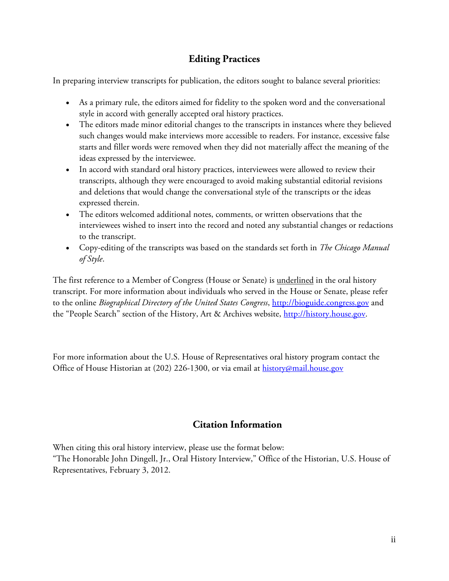## **Editing Practices**

In preparing interview transcripts for publication, the editors sought to balance several priorities:

- As a primary rule, the editors aimed for fidelity to the spoken word and the conversational style in accord with generally accepted oral history practices.
- The editors made minor editorial changes to the transcripts in instances where they believed such changes would make interviews more accessible to readers. For instance, excessive false starts and filler words were removed when they did not materially affect the meaning of the ideas expressed by the interviewee.
- In accord with standard oral history practices, interviewees were allowed to review their transcripts, although they were encouraged to avoid making substantial editorial revisions and deletions that would change the conversational style of the transcripts or the ideas expressed therein.
- The editors welcomed additional notes, comments, or written observations that the interviewees wished to insert into the record and noted any substantial changes or redactions to the transcript.
- Copy-editing of the transcripts was based on the standards set forth in *The Chicago Manual of Style*.

The first reference to a Member of Congress (House or Senate) is <u>underlined</u> in the oral history transcript. For more information about individuals who served in the House or Senate, please refer to the online *Biographical Directory of the United States Congress*, [http://bioguide.congress.gov](http://bioguide.congress.gov/) and the "People Search" section of the History, Art & Archives website, [http://history.house.gov.](http://history.house.gov/)

For more information about the U.S. House of Representatives oral history program contact the Office of House Historian at (202) 226-1300, or via email at [history@mail.house.gov](mailto:history@mail.house.gov)

### **Citation Information**

When citing this oral history interview, please use the format below:

"The Honorable John Dingell, Jr., Oral History Interview," Office of the Historian, U.S. House of Representatives, February 3, 2012.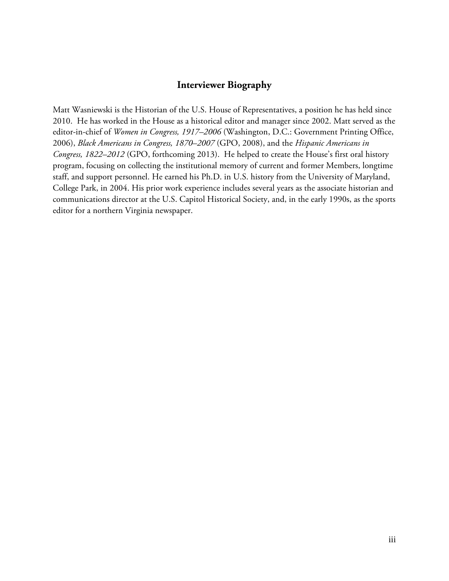#### **Interviewer Biography**

Matt Wasniewski is the Historian of the U.S. House of Representatives, a position he has held since 2010. He has worked in the House as a historical editor and manager since 2002. Matt served as the editor-in-chief of *Women in Congress, 1917–2006* (Washington, D.C.: Government Printing Office, 2006), *Black Americans in Congress, 1870–2007* (GPO, 2008), and the *Hispanic Americans in Congress, 1822–2012* (GPO, forthcoming 2013). He helped to create the House's first oral history program, focusing on collecting the institutional memory of current and former Members, longtime staff, and support personnel. He earned his Ph.D. in U.S. history from the University of Maryland, College Park, in 2004. His prior work experience includes several years as the associate historian and communications director at the U.S. Capitol Historical Society, and, in the early 1990s, as the sports editor for a northern Virginia newspaper.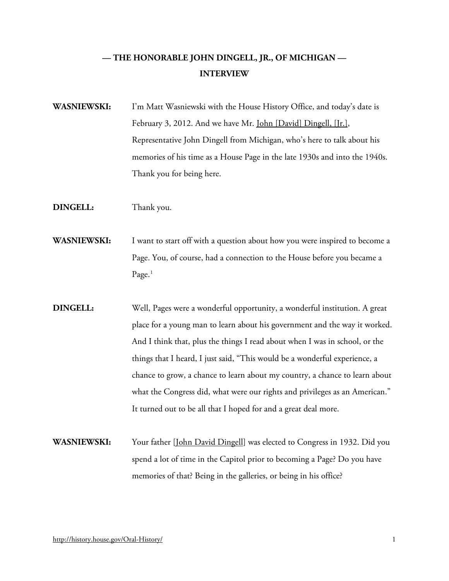# **— THE HONORABLE JOHN DINGELL, JR., OF MICHIGAN — INTERVIEW**

- **WASNIEWSKI:** I'm Matt Wasniewski with the House History Office, and today's date is February 3, 2012. And we have Mr. [John \[David\] Dingell, \[Jr.\],](http://bioguide.congress.gov/scripts/biodisplay.pl?index=D000355) Representative John Dingell from Michigan, who's here to talk about his memories of his time as a House Page in the late 1930s and into the 1940s. Thank you for being here.
- **DINGELL:** Thank you.
- **WASNIEWSKI:** I want to start off with a question about how you were inspired to become a Page. You, of course, had a connection to the House before you became a Page.<sup>[1](#page-34-0)</sup>
- **DINGELL:** Well, Pages were a wonderful opportunity, a wonderful institution. A great place for a young man to learn about his government and the way it worked. And I think that, plus the things I read about when I was in school, or the things that I heard, I just said, "This would be a wonderful experience, a chance to grow, a chance to learn about my country, a chance to learn about what the Congress did, what were our rights and privileges as an American." It turned out to be all that I hoped for and a great deal more.
- **WASNIEWSKI:** Your father [\[John David Dingell\]](http://bioguide.congress.gov/scripts/biodisplay.pl?index=D000354) was elected to Congress in 1932. Did you spend a lot of time in the Capitol prior to becoming a Page? Do you have memories of that? Being in the galleries, or being in his office?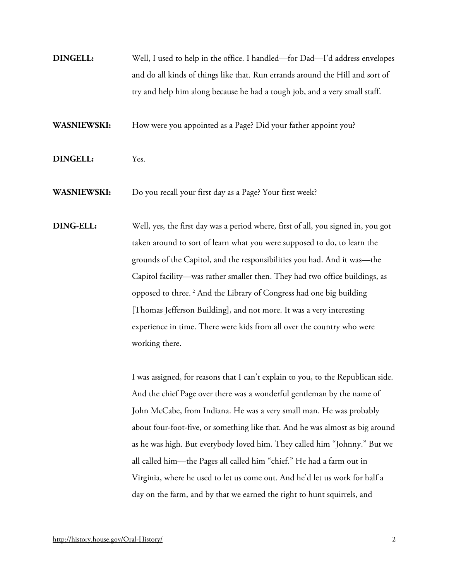**DINGELL:** Well, I used to help in the office. I handled—for Dad—I'd address envelopes and do all kinds of things like that. Run errands around the Hill and sort of try and help him along because he had a tough job, and a very small staff.

**WASNIEWSKI:** How were you appointed as a Page? Did your father appoint you?

**DINGELL:** Yes.

**WASNIEWSKI:** Do you recall your first day as a Page? Your first week?

**DING-ELL:** Well, yes, the first day was a period where, first of all, you signed in, you got taken around to sort of learn what you were supposed to do, to learn the grounds of the Capitol, and the responsibilities you had. And it was—the Capitol facility—was rather smaller then. They had two office buildings, as opposed to three. [2](#page-34-1) And the Library of Congress had one big building [Thomas Jefferson Building], and not more. It was a very interesting experience in time. There were kids from all over the country who were working there.

> I was assigned, for reasons that I can't explain to you, to the Republican side. And the chief Page over there was a wonderful gentleman by the name of John McCabe, from Indiana. He was a very small man. He was probably about four-foot-five, or something like that. And he was almost as big around as he was high. But everybody loved him. They called him "Johnny." But we all called him—the Pages all called him "chief." He had a farm out in Virginia, where he used to let us come out. And he'd let us work for half a day on the farm, and by that we earned the right to hunt squirrels, and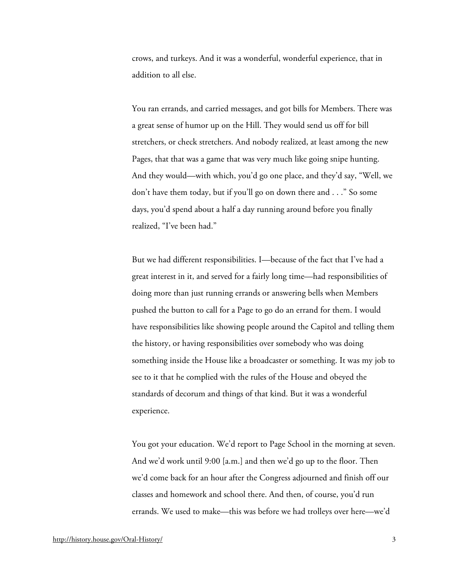crows, and turkeys. And it was a wonderful, wonderful experience, that in addition to all else.

You ran errands, and carried messages, and got bills for Members. There was a great sense of humor up on the Hill. They would send us off for bill stretchers, or check stretchers. And nobody realized, at least among the new Pages, that that was a game that was very much like going snipe hunting. And they would—with which, you'd go one place, and they'd say, "Well, we don't have them today, but if you'll go on down there and . . ." So some days, you'd spend about a half a day running around before you finally realized, "I've been had."

But we had different responsibilities. I—because of the fact that I've had a great interest in it, and served for a fairly long time—had responsibilities of doing more than just running errands or answering bells when Members pushed the button to call for a Page to go do an errand for them. I would have responsibilities like showing people around the Capitol and telling them the history, or having responsibilities over somebody who was doing something inside the House like a broadcaster or something. It was my job to see to it that he complied with the rules of the House and obeyed the standards of decorum and things of that kind. But it was a wonderful experience.

You got your education. We'd report to Page School in the morning at seven. And we'd work until 9:00 [a.m.] and then we'd go up to the floor. Then we'd come back for an hour after the Congress adjourned and finish off our classes and homework and school there. And then, of course, you'd run errands. We used to make—this was before we had trolleys over here—we'd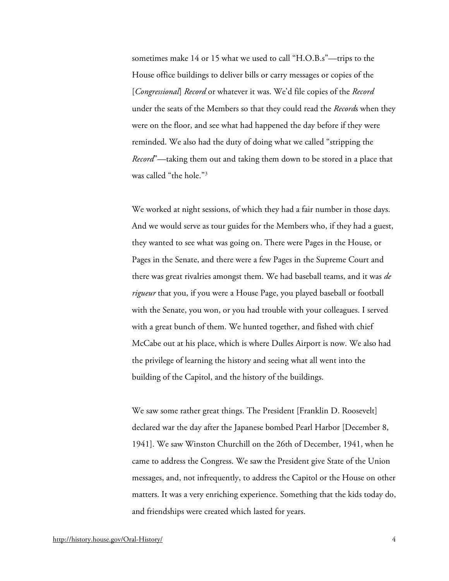sometimes make 14 or 15 what we used to call "H.O.B.s"—trips to the House office buildings to deliver bills or carry messages or copies of the [*Congressional*] *Record* or whatever it was. We'd file copies of the *Record* under the seats of the Members so that they could read the *Record*s when they were on the floor, and see what had happened the day before if they were reminded. We also had the duty of doing what we called "stripping the *Record*"—taking them out and taking them down to be stored in a place that was called "the hole."[3](#page-34-2)

We worked at night sessions, of which they had a fair number in those days. And we would serve as tour guides for the Members who, if they had a guest, they wanted to see what was going on. There were Pages in the House, or Pages in the Senate, and there were a few Pages in the Supreme Court and there was great rivalries amongst them. We had baseball teams, and it was *de rigueur* that you, if you were a House Page, you played baseball or football with the Senate, you won, or you had trouble with your colleagues. I served with a great bunch of them. We hunted together, and fished with chief McCabe out at his place, which is where Dulles Airport is now. We also had the privilege of learning the history and seeing what all went into the building of the Capitol, and the history of the buildings.

We saw some rather great things. The President [Franklin D. Roosevelt] declared war the day after the Japanese bombed Pearl Harbor [December 8, 1941]. We saw Winston Churchill on the 26th of December, 1941, when he came to address the Congress. We saw the President give State of the Union messages, and, not infrequently, to address the Capitol or the House on other matters. It was a very enriching experience. Something that the kids today do, and friendships were created which lasted for years.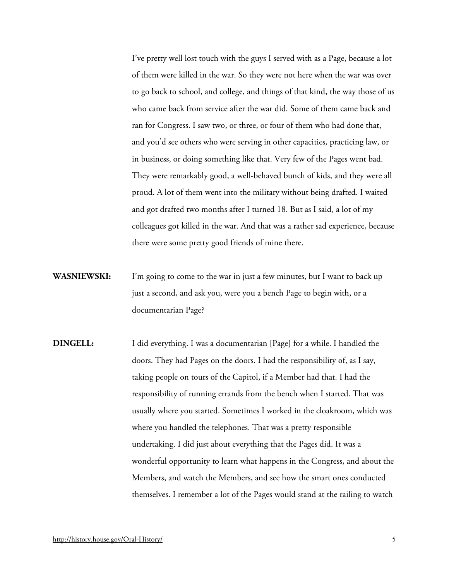I've pretty well lost touch with the guys I served with as a Page, because a lot of them were killed in the war. So they were not here when the war was over to go back to school, and college, and things of that kind, the way those of us who came back from service after the war did. Some of them came back and ran for Congress. I saw two, or three, or four of them who had done that, and you'd see others who were serving in other capacities, practicing law, or in business, or doing something like that. Very few of the Pages went bad. They were remarkably good, a well-behaved bunch of kids, and they were all proud. A lot of them went into the military without being drafted. I waited and got drafted two months after I turned 18. But as I said, a lot of my colleagues got killed in the war. And that was a rather sad experience, because there were some pretty good friends of mine there.

- **WASNIEWSKI:** I'm going to come to the war in just a few minutes, but I want to back up just a second, and ask you, were you a bench Page to begin with, or a documentarian Page?
- **DINGELL:** I did everything. I was a documentarian [Page] for a while. I handled the doors. They had Pages on the doors. I had the responsibility of, as I say, taking people on tours of the Capitol, if a Member had that. I had the responsibility of running errands from the bench when I started. That was usually where you started. Sometimes I worked in the cloakroom, which was where you handled the telephones. That was a pretty responsible undertaking. I did just about everything that the Pages did. It was a wonderful opportunity to learn what happens in the Congress, and about the Members, and watch the Members, and see how the smart ones conducted themselves. I remember a lot of the Pages would stand at the railing to watch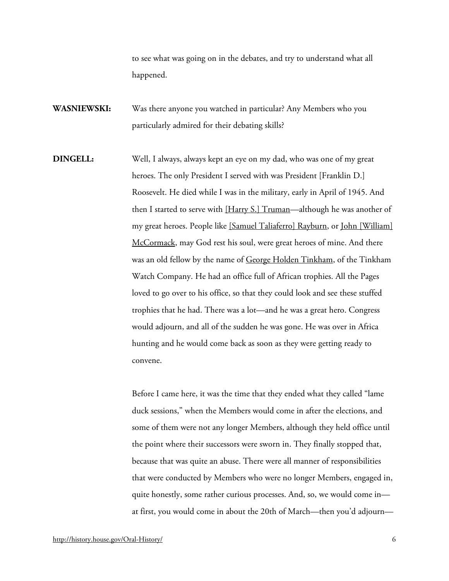to see what was going on in the debates, and try to understand what all happened.

- **WASNIEWSKI:** Was there anyone you watched in particular? Any Members who you particularly admired for their debating skills?
- **DINGELL:** Well, I always, always kept an eye on my dad, who was one of my great heroes. The only President I served with was President [Franklin D.] Roosevelt. He died while I was in the military, early in April of 1945. And then I started to serve with [\[Harry S.\] Truman—](http://bioguide.congress.gov/scripts/biodisplay.pl?index=T000387)although he was another of my great heroes. People like [\[Samuel Taliaferro\] Rayburn,](http://bioguide.congress.gov/scripts/biodisplay.pl?index=R000082) or [John \[William\]](http://bioguide.congress.gov/scripts/biodisplay.pl?index=M000364)  [McCormack,](http://bioguide.congress.gov/scripts/biodisplay.pl?index=M000364) may God rest his soul, were great heroes of mine. And there was an old fellow by the name of [George Holden Tinkham,](http://bioguide.congress.gov/scripts/biodisplay.pl?index=T000283) of the Tinkham Watch Company. He had an office full of African trophies. All the Pages loved to go over to his office, so that they could look and see these stuffed trophies that he had. There was a lot—and he was a great hero. Congress would adjourn, and all of the sudden he was gone. He was over in Africa hunting and he would come back as soon as they were getting ready to convene.

Before I came here, it was the time that they ended what they called "lame duck sessions," when the Members would come in after the elections, and some of them were not any longer Members, although they held office until the point where their successors were sworn in. They finally stopped that, because that was quite an abuse. There were all manner of responsibilities that were conducted by Members who were no longer Members, engaged in, quite honestly, some rather curious processes. And, so, we would come in at first, you would come in about the 20th of March—then you'd adjourn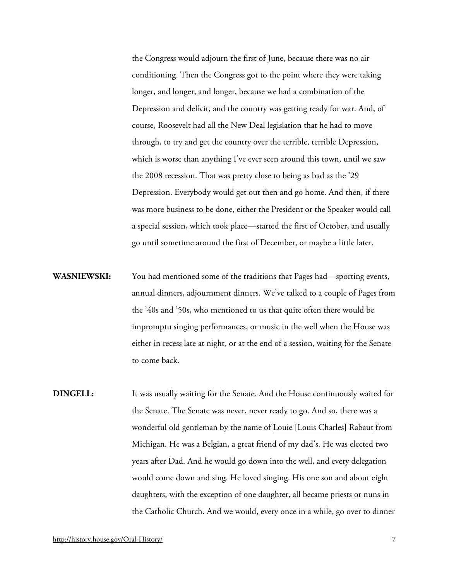the Congress would adjourn the first of June, because there was no air conditioning. Then the Congress got to the point where they were taking longer, and longer, and longer, because we had a combination of the Depression and deficit, and the country was getting ready for war. And, of course, Roosevelt had all the New Deal legislation that he had to move through, to try and get the country over the terrible, terrible Depression, which is worse than anything I've ever seen around this town, until we saw the 2008 recession. That was pretty close to being as bad as the '29 Depression. Everybody would get out then and go home. And then, if there was more business to be done, either the President or the Speaker would call a special session, which took place—started the first of October, and usually go until sometime around the first of December, or maybe a little later.

- **WASNIEWSKI:** You had mentioned some of the traditions that Pages had—sporting events, annual dinners, adjournment dinners. We've talked to a couple of Pages from the '40s and '50s, who mentioned to us that quite often there would be impromptu singing performances, or music in the well when the House was either in recess late at night, or at the end of a session, waiting for the Senate to come back.
- **DINGELL:** It was usually waiting for the Senate. And the House continuously waited for the Senate. The Senate was never, never ready to go. And so, there was a wonderful old gentleman by the name of <u>Louie [Louis Charles] Rabaut</u> from Michigan. He was a Belgian, a great friend of my dad's. He was elected two years after Dad. And he would go down into the well, and every delegation would come down and sing. He loved singing. His one son and about eight daughters, with the exception of one daughter, all became priests or nuns in the Catholic Church. And we would, every once in a while, go over to dinner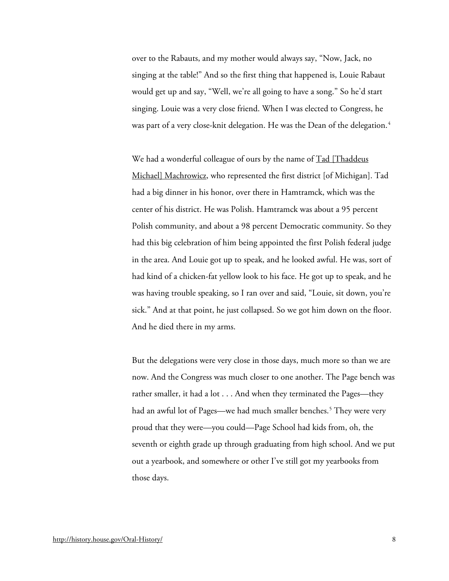over to the Rabauts, and my mother would always say, "Now, Jack, no singing at the table!" And so the first thing that happened is, Louie Rabaut would get up and say, "Well, we're all going to have a song." So he'd start singing. Louie was a very close friend. When I was elected to Congress, he was part of a very close-knit delegation. He was the Dean of the delegation.<sup>[4](#page-34-3)</sup>

We had a wonderful colleague of ours by the name of  $Tad$  [Thaddeus]</u> [Michael\] Machrowicz,](http://bioguide.congress.gov/scripts/biodisplay.pl?index=M000014) who represented the first district [of Michigan]. Tad had a big dinner in his honor, over there in Hamtramck, which was the center of his district. He was Polish. Hamtramck was about a 95 percent Polish community, and about a 98 percent Democratic community. So they had this big celebration of him being appointed the first Polish federal judge in the area. And Louie got up to speak, and he looked awful. He was, sort of had kind of a chicken-fat yellow look to his face. He got up to speak, and he was having trouble speaking, so I ran over and said, "Louie, sit down, you're sick." And at that point, he just collapsed. So we got him down on the floor. And he died there in my arms.

But the delegations were very close in those days, much more so than we are now. And the Congress was much closer to one another. The Page bench was rather smaller, it had a lot . . . And when they terminated the Pages—they had an awful lot of Pages—we had much smaller benches.<sup>[5](#page-34-4)</sup> They were very proud that they were—you could—Page School had kids from, oh, the seventh or eighth grade up through graduating from high school. And we put out a yearbook, and somewhere or other I've still got my yearbooks from those days.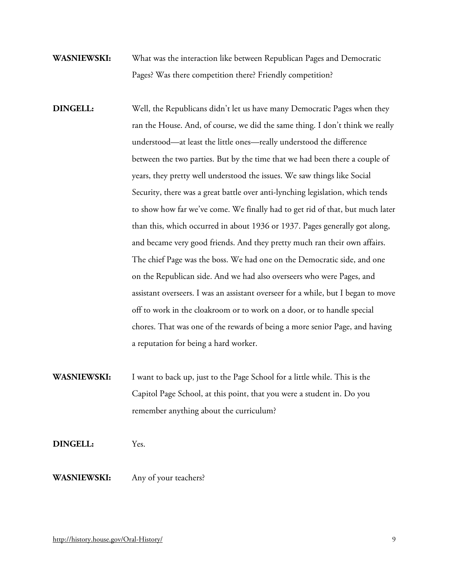- **WASNIEWSKI:** What was the interaction like between Republican Pages and Democratic Pages? Was there competition there? Friendly competition?
- **DINGELL:** Well, the Republicans didn't let us have many Democratic Pages when they ran the House. And, of course, we did the same thing. I don't think we really understood—at least the little ones—really understood the difference between the two parties. But by the time that we had been there a couple of years, they pretty well understood the issues. We saw things like Social Security, there was a great battle over anti-lynching legislation, which tends to show how far we've come. We finally had to get rid of that, but much later than this, which occurred in about 1936 or 1937. Pages generally got along, and became very good friends. And they pretty much ran their own affairs. The chief Page was the boss. We had one on the Democratic side, and one on the Republican side. And we had also overseers who were Pages, and assistant overseers. I was an assistant overseer for a while, but I began to move off to work in the cloakroom or to work on a door, or to handle special chores. That was one of the rewards of being a more senior Page, and having a reputation for being a hard worker.
- **WASNIEWSKI:** I want to back up, just to the Page School for a little while. This is the Capitol Page School, at this point, that you were a student in. Do you remember anything about the curriculum?
- **DINGELL:** Yes.
- **WASNIEWSKI:** Any of your teachers?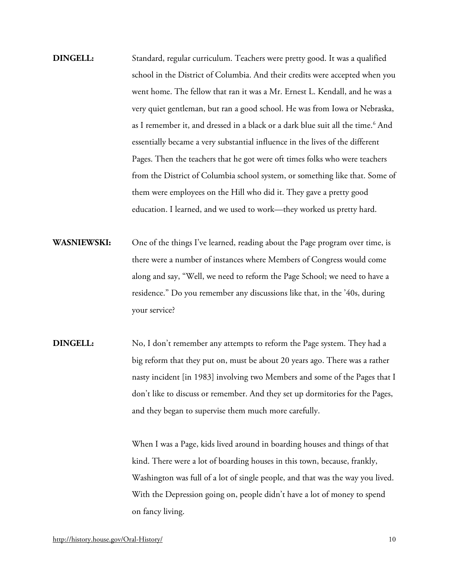- **DINGELL:** Standard, regular curriculum. Teachers were pretty good. It was a qualified school in the District of Columbia. And their credits were accepted when you went home. The fellow that ran it was a Mr. Ernest L. Kendall, and he was a very quiet gentleman, but ran a good school. He was from Iowa or Nebraska, as I remember it, and dressed in a black or a dark blue suit all the time.<sup>[6](#page-34-5)</sup> And essentially became a very substantial influence in the lives of the different Pages. Then the teachers that he got were oft times folks who were teachers from the District of Columbia school system, or something like that. Some of them were employees on the Hill who did it. They gave a pretty good education. I learned, and we used to work—they worked us pretty hard.
- **WASNIEWSKI:** One of the things I've learned, reading about the Page program over time, is there were a number of instances where Members of Congress would come along and say, "Well, we need to reform the Page School; we need to have a residence." Do you remember any discussions like that, in the '40s, during your service?
- **DINGELL:** No, I don't remember any attempts to reform the Page system. They had a big reform that they put on, must be about 20 years ago. There was a rather nasty incident [in 1983] involving two Members and some of the Pages that I don't like to discuss or remember. And they set up dormitories for the Pages, and they began to supervise them much more carefully.

When I was a Page, kids lived around in boarding houses and things of that kind. There were a lot of boarding houses in this town, because, frankly, Washington was full of a lot of single people, and that was the way you lived. With the Depression going on, people didn't have a lot of money to spend on fancy living.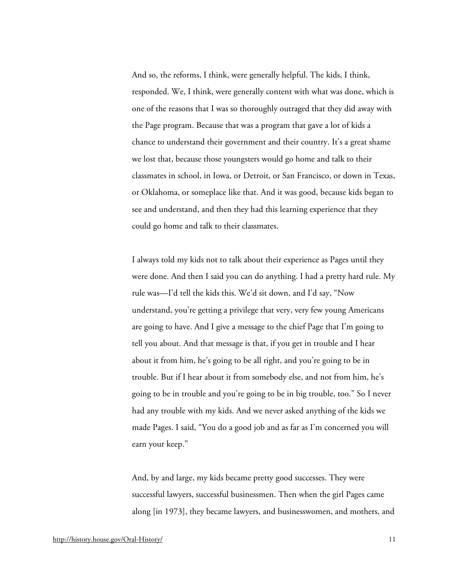And so, the reforms, I think, were generally helpful. The kids, I think, responded. We, I think, were generally content with what was done, which is one of the reasons that I was so thoroughly outraged that they did away with the Page program. Because that was a program that gave a lot of kids a chance to understand their government and their country. It's a great shame we lost that, because those youngsters would go home and talk to their classmates in school, in Iowa, or Detroit, or San Francisco, or down in Texas, or Oklahoma, or someplace like that. And it was good, because kids began to see and understand, and then they had this learning experience that they could go home and talk to their classmates.

I always told my kids not to talk about their experience as Pages until they were done. And then I said you can do anything. I had a pretty hard rule. My rule was—I'd tell the kids this. We'd sit down, and I'd say, "Now understand, you're getting a privilege that very, very few young Americans are going to have. And I give a message to the chief Page that I'm going to tell you about. And that message is that, if you get in trouble and I hear about it from him, he's going to be all right, and you're going to be in trouble. But if I hear about it from somebody else, and not from him, he's going to be in trouble and you're going to be in big trouble, too." So I never had any trouble with my kids. And we never asked anything of the kids we made Pages. I said, "You do a good job and as far as I'm concerned you will earn your keep."

And, by and large, my kids became pretty good successes. They were successful lawyers, successful businessmen. Then when the girl Pages came along [in 1973], they became lawyers, and businesswomen, and mothers, and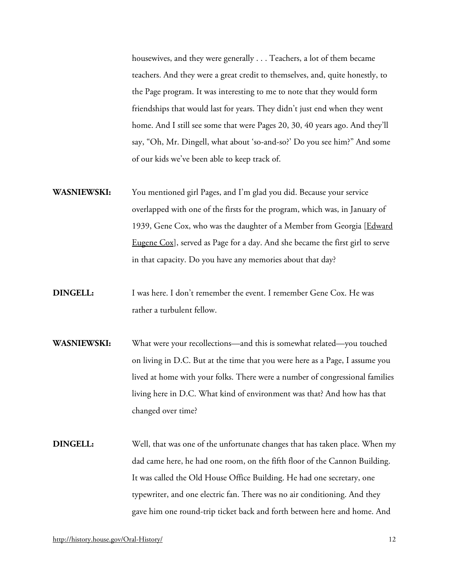housewives, and they were generally . . . Teachers, a lot of them became teachers. And they were a great credit to themselves, and, quite honestly, to the Page program. It was interesting to me to note that they would form friendships that would last for years. They didn't just end when they went home. And I still see some that were Pages 20, 30, 40 years ago. And they'll say, "Oh, Mr. Dingell, what about 'so-and-so?' Do you see him?" And some of our kids we've been able to keep track of.

- **WASNIEWSKI:** You mentioned girl Pages, and I'm glad you did. Because your service overlapped with one of the firsts for the program, which was, in January of 1939, Gene Cox, who was the daughter of a Member from Georgia [Edward [Eugene Cox\]](http://bioguide.congress.gov/scripts/biodisplay.pl?index=C000831), served as Page for a day. And she became the first girl to serve in that capacity. Do you have any memories about that day?
- **DINGELL:** I was here. I don't remember the event. I remember Gene Cox. He was rather a turbulent fellow.
- **WASNIEWSKI:** What were your recollections—and this is somewhat related—you touched on living in D.C. But at the time that you were here as a Page, I assume you lived at home with your folks. There were a number of congressional families living here in D.C. What kind of environment was that? And how has that changed over time?
- **DINGELL:** Well, that was one of the unfortunate changes that has taken place. When my dad came here, he had one room, on the fifth floor of the Cannon Building. It was called the Old House Office Building. He had one secretary, one typewriter, and one electric fan. There was no air conditioning. And they gave him one round-trip ticket back and forth between here and home. And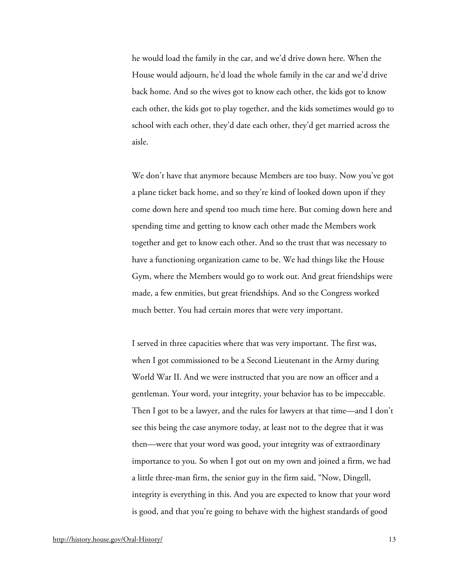he would load the family in the car, and we'd drive down here. When the House would adjourn, he'd load the whole family in the car and we'd drive back home. And so the wives got to know each other, the kids got to know each other, the kids got to play together, and the kids sometimes would go to school with each other, they'd date each other, they'd get married across the aisle.

We don't have that anymore because Members are too busy. Now you've got a plane ticket back home, and so they're kind of looked down upon if they come down here and spend too much time here. But coming down here and spending time and getting to know each other made the Members work together and get to know each other. And so the trust that was necessary to have a functioning organization came to be. We had things like the House Gym, where the Members would go to work out. And great friendships were made, a few enmities, but great friendships. And so the Congress worked much better. You had certain mores that were very important.

I served in three capacities where that was very important. The first was, when I got commissioned to be a Second Lieutenant in the Army during World War II. And we were instructed that you are now an officer and a gentleman. Your word, your integrity, your behavior has to be impeccable. Then I got to be a lawyer, and the rules for lawyers at that time—and I don't see this being the case anymore today, at least not to the degree that it was then—were that your word was good, your integrity was of extraordinary importance to you. So when I got out on my own and joined a firm, we had a little three-man firm, the senior guy in the firm said, "Now, Dingell, integrity is everything in this. And you are expected to know that your word is good, and that you're going to behave with the highest standards of good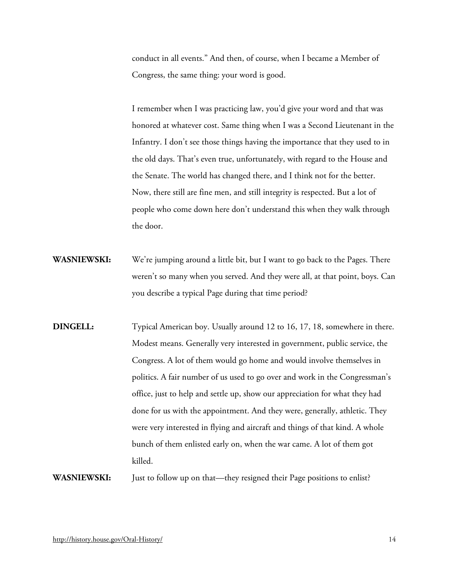conduct in all events." And then, of course, when I became a Member of Congress, the same thing: your word is good.

I remember when I was practicing law, you'd give your word and that was honored at whatever cost. Same thing when I was a Second Lieutenant in the Infantry. I don't see those things having the importance that they used to in the old days. That's even true, unfortunately, with regard to the House and the Senate. The world has changed there, and I think not for the better. Now, there still are fine men, and still integrity is respected. But a lot of people who come down here don't understand this when they walk through the door.

- **WASNIEWSKI:** We're jumping around a little bit, but I want to go back to the Pages. There weren't so many when you served. And they were all, at that point, boys. Can you describe a typical Page during that time period?
- **DINGELL:** Typical American boy. Usually around 12 to 16, 17, 18, somewhere in there. Modest means. Generally very interested in government, public service, the Congress. A lot of them would go home and would involve themselves in politics. A fair number of us used to go over and work in the Congressman's office, just to help and settle up, show our appreciation for what they had done for us with the appointment. And they were, generally, athletic. They were very interested in flying and aircraft and things of that kind. A whole bunch of them enlisted early on, when the war came. A lot of them got killed.

**WASNIEWSKI:** Just to follow up on that—they resigned their Page positions to enlist?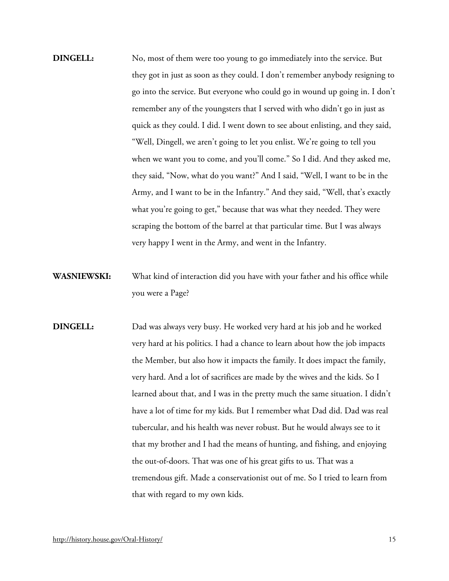- **DINGELL:** No, most of them were too young to go immediately into the service. But they got in just as soon as they could. I don't remember anybody resigning to go into the service. But everyone who could go in wound up going in. I don't remember any of the youngsters that I served with who didn't go in just as quick as they could. I did. I went down to see about enlisting, and they said, "Well, Dingell, we aren't going to let you enlist. We're going to tell you when we want you to come, and you'll come." So I did. And they asked me, they said, "Now, what do you want?" And I said, "Well, I want to be in the Army, and I want to be in the Infantry." And they said, "Well, that's exactly what you're going to get," because that was what they needed. They were scraping the bottom of the barrel at that particular time. But I was always very happy I went in the Army, and went in the Infantry.
- **WASNIEWSKI:** What kind of interaction did you have with your father and his office while you were a Page?
- **DINGELL:** Dad was always very busy. He worked very hard at his job and he worked very hard at his politics. I had a chance to learn about how the job impacts the Member, but also how it impacts the family. It does impact the family, very hard. And a lot of sacrifices are made by the wives and the kids. So I learned about that, and I was in the pretty much the same situation. I didn't have a lot of time for my kids. But I remember what Dad did. Dad was real tubercular, and his health was never robust. But he would always see to it that my brother and I had the means of hunting, and fishing, and enjoying the out-of-doors. That was one of his great gifts to us. That was a tremendous gift. Made a conservationist out of me. So I tried to learn from that with regard to my own kids.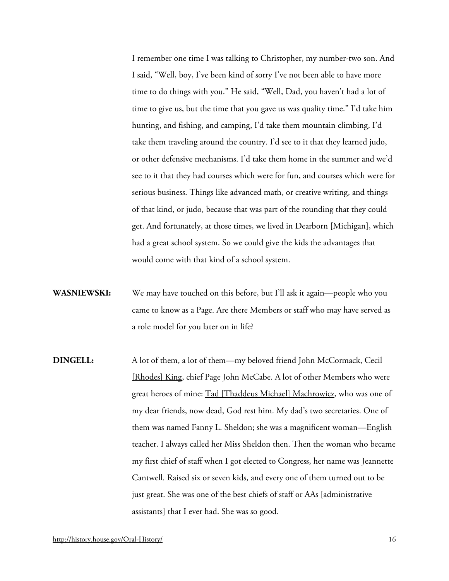I remember one time I was talking to Christopher, my number-two son. And I said, "Well, boy, I've been kind of sorry I've not been able to have more time to do things with you." He said, "Well, Dad, you haven't had a lot of time to give us, but the time that you gave us was quality time." I'd take him hunting, and fishing, and camping, I'd take them mountain climbing, I'd take them traveling around the country. I'd see to it that they learned judo, or other defensive mechanisms. I'd take them home in the summer and we'd see to it that they had courses which were for fun, and courses which were for serious business. Things like advanced math, or creative writing, and things of that kind, or judo, because that was part of the rounding that they could get. And fortunately, at those times, we lived in Dearborn [Michigan], which had a great school system. So we could give the kids the advantages that would come with that kind of a school system.

- **WASNIEWSKI:** We may have touched on this before, but I'll ask it again—people who you came to know as a Page. Are there Members or staff who may have served as a role model for you later on in life?
- **DINGELL:** A lot of them, a lot of them—my beloved friend John McCormack, Cecil [\[Rhodes\] King,](http://bioguide.congress.gov/scripts/biodisplay.pl?index=K000196) chief Page John McCabe. A lot of other Members who were great heroes of mine: [Tad \[Thaddeus Michael\] Machrowicz,](http://bioguide.congress.gov/scripts/biodisplay.pl?index=M000014) who was one of my dear friends, now dead, God rest him. My dad's two secretaries. One of them was named Fanny L. Sheldon; she was a magnificent woman—English teacher. I always called her Miss Sheldon then. Then the woman who became my first chief of staff when I got elected to Congress, her name was Jeannette Cantwell. Raised six or seven kids, and every one of them turned out to be just great. She was one of the best chiefs of staff or AAs [administrative assistants] that I ever had. She was so good.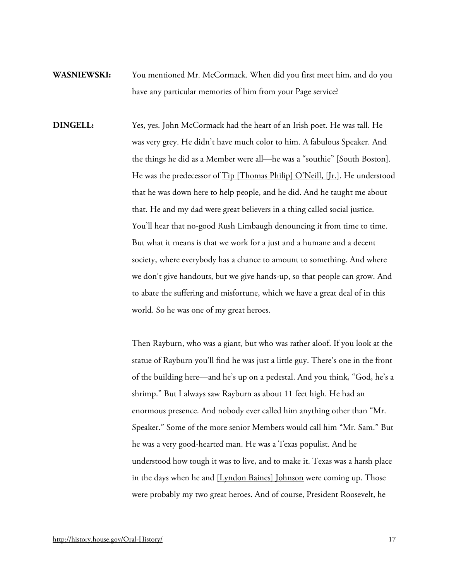- **WASNIEWSKI:** You mentioned Mr. McCormack. When did you first meet him, and do you have any particular memories of him from your Page service?
- **DINGELL:** Yes, yes. John McCormack had the heart of an Irish poet. He was tall. He was very grey. He didn't have much color to him. A fabulous Speaker. And the things he did as a Member were all—he was a "southie" [South Boston]. He was the predecessor of [Tip \[Thomas Philip\] O'Neill, \[Jr.\].](http://bioguide.congress.gov/scripts/biodisplay.pl?index=O000098) He understood that he was down here to help people, and he did. And he taught me about that. He and my dad were great believers in a thing called social justice. You'll hear that no-good Rush Limbaugh denouncing it from time to time. But what it means is that we work for a just and a humane and a decent society, where everybody has a chance to amount to something. And where we don't give handouts, but we give hands-up, so that people can grow. And to abate the suffering and misfortune, which we have a great deal of in this world. So he was one of my great heroes.

Then Rayburn, who was a giant, but who was rather aloof. If you look at the statue of Rayburn you'll find he was just a little guy. There's one in the front of the building here—and he's up on a pedestal. And you think, "God, he's a shrimp." But I always saw Rayburn as about 11 feet high. He had an enormous presence. And nobody ever called him anything other than "Mr. Speaker." Some of the more senior Members would call him "Mr. Sam." But he was a very good-hearted man. He was a Texas populist. And he understood how tough it was to live, and to make it. Texas was a harsh place in the days when he and [\[Lyndon Baines\] Johnson](http://bioguide.congress.gov/scripts/biodisplay.pl?index=J000160) were coming up. Those were probably my two great heroes. And of course, President Roosevelt, he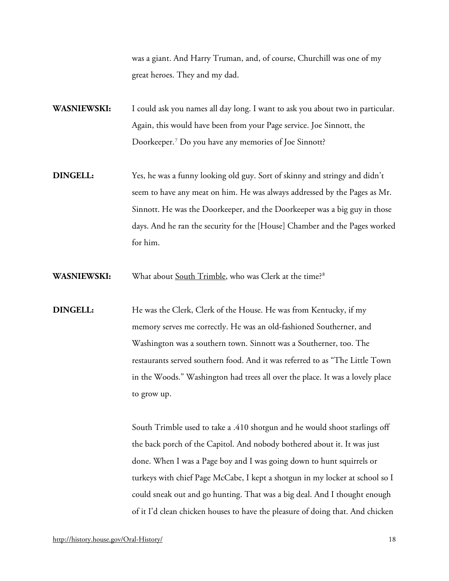was a giant. And Harry Truman, and, of course, Churchill was one of my great heroes. They and my dad.

**WASNIEWSKI:** I could ask you names all day long. I want to ask you about two in particular. Again, this would have been from your Page service. Joe Sinnott, the Doorkeeper.[7](#page-34-6) Do you have any memories of Joe Sinnott?

- **DINGELL:** Yes, he was a funny looking old guy. Sort of skinny and stringy and didn't seem to have any meat on him. He was always addressed by the Pages as Mr. Sinnott. He was the Doorkeeper, and the Doorkeeper was a big guy in those days. And he ran the security for the [House] Chamber and the Pages worked for him.
- **WASNIEWSKI:** What about [South Trimble,](http://bioguide.congress.gov/scripts/biodisplay.pl?index=T000376) who was Clerk at the time?[8](#page-34-7)
- **DINGELL:** He was the Clerk, Clerk of the House. He was from Kentucky, if my memory serves me correctly. He was an old-fashioned Southerner, and Washington was a southern town. Sinnott was a Southerner, too. The restaurants served southern food. And it was referred to as "The Little Town in the Woods." Washington had trees all over the place. It was a lovely place to grow up.

South Trimble used to take a .410 shotgun and he would shoot starlings off the back porch of the Capitol. And nobody bothered about it. It was just done. When I was a Page boy and I was going down to hunt squirrels or turkeys with chief Page McCabe, I kept a shotgun in my locker at school so I could sneak out and go hunting. That was a big deal. And I thought enough of it I'd clean chicken houses to have the pleasure of doing that. And chicken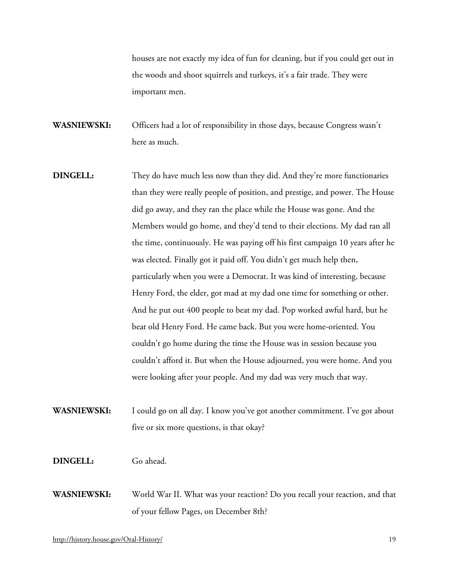houses are not exactly my idea of fun for cleaning, but if you could get out in the woods and shoot squirrels and turkeys, it's a fair trade. They were important men.

**WASNIEWSKI:** Officers had a lot of responsibility in those days, because Congress wasn't here as much.

- **DINGELL:** They do have much less now than they did. And they're more functionaries than they were really people of position, and prestige, and power. The House did go away, and they ran the place while the House was gone. And the Members would go home, and they'd tend to their elections. My dad ran all the time, continuously. He was paying off his first campaign 10 years after he was elected. Finally got it paid off. You didn't get much help then, particularly when you were a Democrat. It was kind of interesting, because Henry Ford, the elder, got mad at my dad one time for something or other. And he put out 400 people to beat my dad. Pop worked awful hard, but he beat old Henry Ford. He came back. But you were home-oriented. You couldn't go home during the time the House was in session because you couldn't afford it. But when the House adjourned, you were home. And you were looking after your people. And my dad was very much that way.
- **WASNIEWSKI:** I could go on all day. I know you've got another commitment. I've got about five or six more questions, is that okay?

**DINGELL:** Go ahead.

**WASNIEWSKI:** World War II. What was your reaction? Do you recall your reaction, and that of your fellow Pages, on December 8th?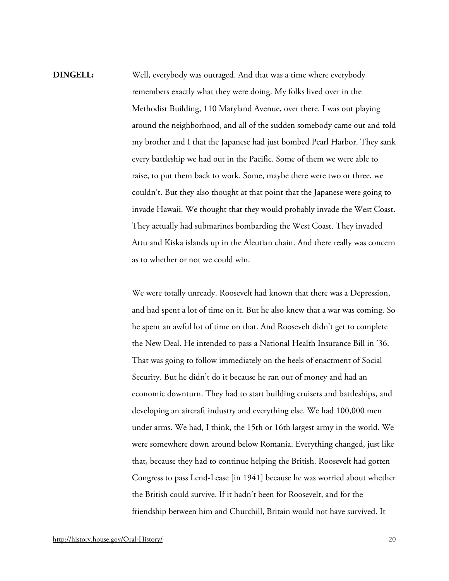**DINGELL:** Well, everybody was outraged. And that was a time where everybody remembers exactly what they were doing. My folks lived over in the Methodist Building, 110 Maryland Avenue, over there. I was out playing around the neighborhood, and all of the sudden somebody came out and told my brother and I that the Japanese had just bombed Pearl Harbor. They sank every battleship we had out in the Pacific. Some of them we were able to raise, to put them back to work. Some, maybe there were two or three, we couldn't. But they also thought at that point that the Japanese were going to invade Hawaii. We thought that they would probably invade the West Coast. They actually had submarines bombarding the West Coast. They invaded Attu and Kiska islands up in the Aleutian chain. And there really was concern as to whether or not we could win.

> We were totally unready. Roosevelt had known that there was a Depression, and had spent a lot of time on it. But he also knew that a war was coming. So he spent an awful lot of time on that. And Roosevelt didn't get to complete the New Deal. He intended to pass a National Health Insurance Bill in '36. That was going to follow immediately on the heels of enactment of Social Security. But he didn't do it because he ran out of money and had an economic downturn. They had to start building cruisers and battleships, and developing an aircraft industry and everything else. We had 100,000 men under arms. We had, I think, the 15th or 16th largest army in the world. We were somewhere down around below Romania. Everything changed, just like that, because they had to continue helping the British. Roosevelt had gotten Congress to pass Lend-Lease [in 1941] because he was worried about whether the British could survive. If it hadn't been for Roosevelt, and for the friendship between him and Churchill, Britain would not have survived. It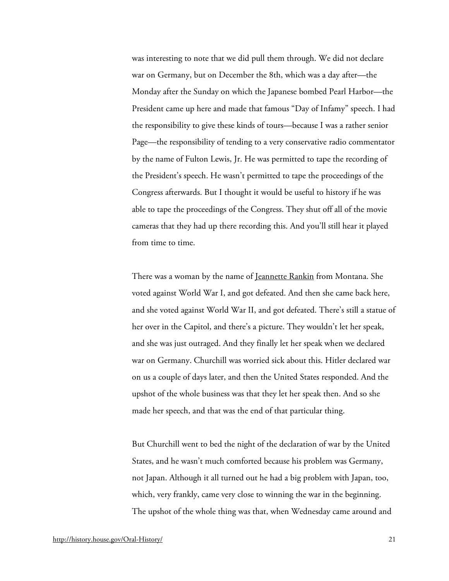was interesting to note that we did pull them through. We did not declare war on Germany, but on December the 8th, which was a day after—the Monday after the Sunday on which the Japanese bombed Pearl Harbor—the President came up here and made that famous "Day of Infamy" speech. I had the responsibility to give these kinds of tours—because I was a rather senior Page—the responsibility of tending to a very conservative radio commentator by the name of Fulton Lewis, Jr. He was permitted to tape the recording of the President's speech. He wasn't permitted to tape the proceedings of the Congress afterwards. But I thought it would be useful to history if he was able to tape the proceedings of the Congress. They shut off all of the movie cameras that they had up there recording this. And you'll still hear it played from time to time.

There was a woman by the name of <u>Jeannette Rankin</u> from Montana. She voted against World War I, and got defeated. And then she came back here, and she voted against World War II, and got defeated. There's still a statue of her over in the Capitol, and there's a picture. They wouldn't let her speak, and she was just outraged. And they finally let her speak when we declared war on Germany. Churchill was worried sick about this. Hitler declared war on us a couple of days later, and then the United States responded. And the upshot of the whole business was that they let her speak then. And so she made her speech, and that was the end of that particular thing.

But Churchill went to bed the night of the declaration of war by the United States, and he wasn't much comforted because his problem was Germany, not Japan. Although it all turned out he had a big problem with Japan, too, which, very frankly, came very close to winning the war in the beginning. The upshot of the whole thing was that, when Wednesday came around and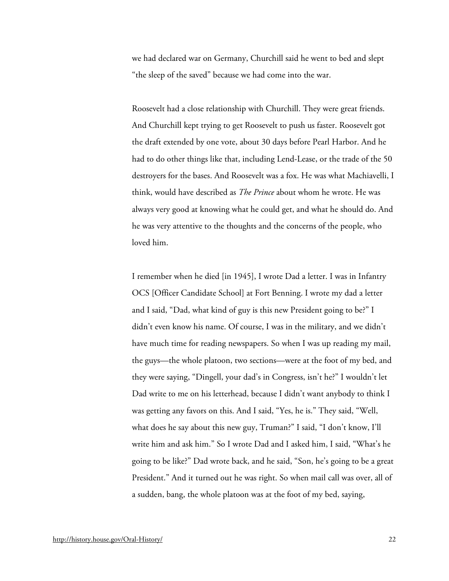we had declared war on Germany, Churchill said he went to bed and slept "the sleep of the saved" because we had come into the war.

Roosevelt had a close relationship with Churchill. They were great friends. And Churchill kept trying to get Roosevelt to push us faster. Roosevelt got the draft extended by one vote, about 30 days before Pearl Harbor. And he had to do other things like that, including Lend-Lease, or the trade of the 50 destroyers for the bases. And Roosevelt was a fox. He was what Machiavelli, I think, would have described as *The Prince* about whom he wrote. He was always very good at knowing what he could get, and what he should do. And he was very attentive to the thoughts and the concerns of the people, who loved him.

I remember when he died [in 1945], I wrote Dad a letter. I was in Infantry OCS [Officer Candidate School] at Fort Benning. I wrote my dad a letter and I said, "Dad, what kind of guy is this new President going to be?" I didn't even know his name. Of course, I was in the military, and we didn't have much time for reading newspapers. So when I was up reading my mail, the guys—the whole platoon, two sections—were at the foot of my bed, and they were saying, "Dingell, your dad's in Congress, isn't he?" I wouldn't let Dad write to me on his letterhead, because I didn't want anybody to think I was getting any favors on this. And I said, "Yes, he is." They said, "Well, what does he say about this new guy, Truman?" I said, "I don't know, I'll write him and ask him." So I wrote Dad and I asked him, I said, "What's he going to be like?" Dad wrote back, and he said, "Son, he's going to be a great President." And it turned out he was right. So when mail call was over, all of a sudden, bang, the whole platoon was at the foot of my bed, saying,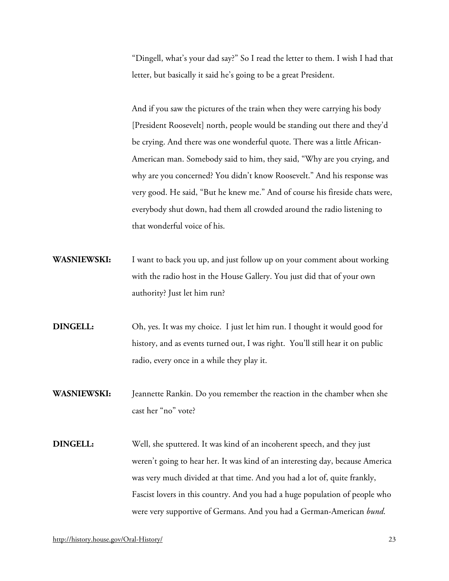"Dingell, what's your dad say?" So I read the letter to them. I wish I had that letter, but basically it said he's going to be a great President.

And if you saw the pictures of the train when they were carrying his body [President Roosevelt] north, people would be standing out there and they'd be crying. And there was one wonderful quote. There was a little African-American man. Somebody said to him, they said, "Why are you crying, and why are you concerned? You didn't know Roosevelt." And his response was very good. He said, "But he knew me." And of course his fireside chats were, everybody shut down, had them all crowded around the radio listening to that wonderful voice of his.

- **WASNIEWSKI:** I want to back you up, and just follow up on your comment about working with the radio host in the House Gallery. You just did that of your own authority? Just let him run?
- **DINGELL:** Oh, yes. It was my choice. I just let him run. I thought it would good for history, and as events turned out, I was right. You'll still hear it on public radio, every once in a while they play it.

**WASNIEWSKI:** Jeannette Rankin. Do you remember the reaction in the chamber when she cast her "no" vote?

**DINGELL:** Well, she sputtered. It was kind of an incoherent speech, and they just weren't going to hear her. It was kind of an interesting day, because America was very much divided at that time. And you had a lot of, quite frankly, Fascist lovers in this country. And you had a huge population of people who were very supportive of Germans. And you had a German-American *bund*.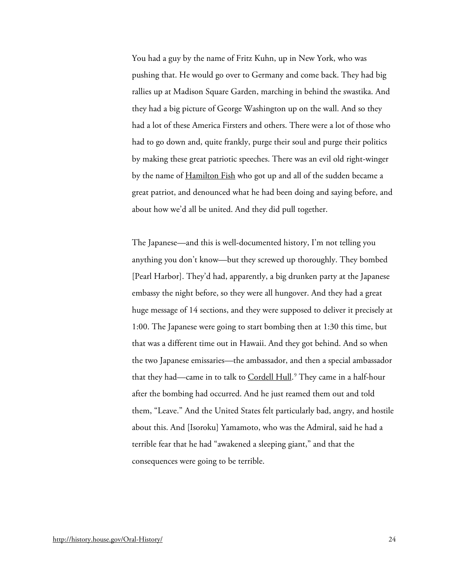You had a guy by the name of Fritz Kuhn, up in New York, who was pushing that. He would go over to Germany and come back. They had big rallies up at Madison Square Garden, marching in behind the swastika. And they had a big picture of George Washington up on the wall. And so they had a lot of these America Firsters and others. There were a lot of those who had to go down and, quite frankly, purge their soul and purge their politics by making these great patriotic speeches. There was an evil old right-winger by the name of [Hamilton Fish](http://bioguide.congress.gov/scripts/biodisplay.pl?index=F000142) who got up and all of the sudden became a great patriot, and denounced what he had been doing and saying before, and about how we'd all be united. And they did pull together.

The Japanese—and this is well-documented history, I'm not telling you anything you don't know—but they screwed up thoroughly. They bombed [Pearl Harbor]. They'd had, apparently, a big drunken party at the Japanese embassy the night before, so they were all hungover. And they had a great huge message of 14 sections, and they were supposed to deliver it precisely at 1:00. The Japanese were going to start bombing then at 1:30 this time, but that was a different time out in Hawaii. And they got behind. And so when the two Japanese emissaries—the ambassador, and then a special ambassador that they had—came in to talk to <u>Cordell Hull</u>.<sup>[9](#page-34-8)</sup> They came in a half-hour after the bombing had occurred. And he just reamed them out and told them, "Leave." And the United States felt particularly bad, angry, and hostile about this. And [Isoroku] Yamamoto, who was the Admiral, said he had a terrible fear that he had "awakened a sleeping giant," and that the consequences were going to be terrible.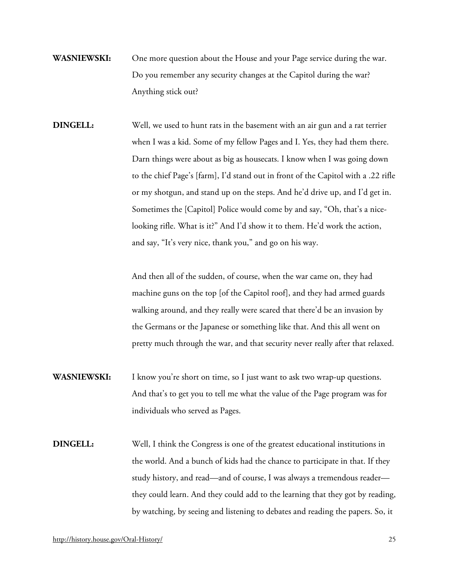- **WASNIEWSKI:** One more question about the House and your Page service during the war. Do you remember any security changes at the Capitol during the war? Anything stick out?
- **DINGELL:** Well, we used to hunt rats in the basement with an air gun and a rat terrier when I was a kid. Some of my fellow Pages and I. Yes, they had them there. Darn things were about as big as housecats. I know when I was going down to the chief Page's [farm], I'd stand out in front of the Capitol with a .22 rifle or my shotgun, and stand up on the steps. And he'd drive up, and I'd get in. Sometimes the [Capitol] Police would come by and say, "Oh, that's a nicelooking rifle. What is it?" And I'd show it to them. He'd work the action, and say, "It's very nice, thank you," and go on his way.

And then all of the sudden, of course, when the war came on, they had machine guns on the top [of the Capitol roof], and they had armed guards walking around, and they really were scared that there'd be an invasion by the Germans or the Japanese or something like that. And this all went on pretty much through the war, and that security never really after that relaxed.

- **WASNIEWSKI:** I know you're short on time, so I just want to ask two wrap-up questions. And that's to get you to tell me what the value of the Page program was for individuals who served as Pages.
- **DINGELL:** Well, I think the Congress is one of the greatest educational institutions in the world. And a bunch of kids had the chance to participate in that. If they study history, and read—and of course, I was always a tremendous reader they could learn. And they could add to the learning that they got by reading, by watching, by seeing and listening to debates and reading the papers. So, it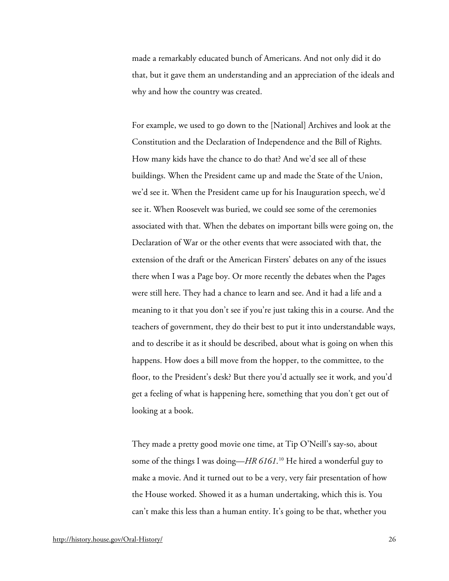made a remarkably educated bunch of Americans. And not only did it do that, but it gave them an understanding and an appreciation of the ideals and why and how the country was created.

For example, we used to go down to the [National] Archives and look at the Constitution and the Declaration of Independence and the Bill of Rights. How many kids have the chance to do that? And we'd see all of these buildings. When the President came up and made the State of the Union, we'd see it. When the President came up for his Inauguration speech, we'd see it. When Roosevelt was buried, we could see some of the ceremonies associated with that. When the debates on important bills were going on, the Declaration of War or the other events that were associated with that, the extension of the draft or the American Firsters' debates on any of the issues there when I was a Page boy. Or more recently the debates when the Pages were still here. They had a chance to learn and see. And it had a life and a meaning to it that you don't see if you're just taking this in a course. And the teachers of government, they do their best to put it into understandable ways, and to describe it as it should be described, about what is going on when this happens. How does a bill move from the hopper, to the committee, to the floor, to the President's desk? But there you'd actually see it work, and you'd get a feeling of what is happening here, something that you don't get out of looking at a book.

They made a pretty good movie one time, at Tip O'Neill's say-so, about some of the things I was doing—*HR 6161*. [10](#page-34-9) He hired a wonderful guy to make a movie. And it turned out to be a very, very fair presentation of how the House worked. Showed it as a human undertaking, which this is. You can't make this less than a human entity. It's going to be that, whether you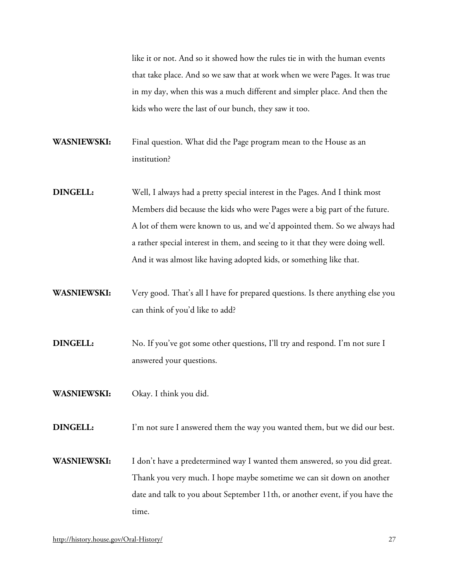like it or not. And so it showed how the rules tie in with the human events that take place. And so we saw that at work when we were Pages. It was true in my day, when this was a much different and simpler place. And then the kids who were the last of our bunch, they saw it too.

- **WASNIEWSKI:** Final question. What did the Page program mean to the House as an institution?
- **DINGELL:** Well, I always had a pretty special interest in the Pages. And I think most Members did because the kids who were Pages were a big part of the future. A lot of them were known to us, and we'd appointed them. So we always had a rather special interest in them, and seeing to it that they were doing well. And it was almost like having adopted kids, or something like that.
- **WASNIEWSKI:** Very good. That's all I have for prepared questions. Is there anything else you can think of you'd like to add?
- **DINGELL:** No. If you've got some other questions, I'll try and respond. I'm not sure I answered your questions.
- **WASNIEWSKI:** Okay. I think you did.
- **DINGELL:** I'm not sure I answered them the way you wanted them, but we did our best.
- **WASNIEWSKI:** I don't have a predetermined way I wanted them answered, so you did great. Thank you very much. I hope maybe sometime we can sit down on another date and talk to you about September 11th, or another event, if you have the time.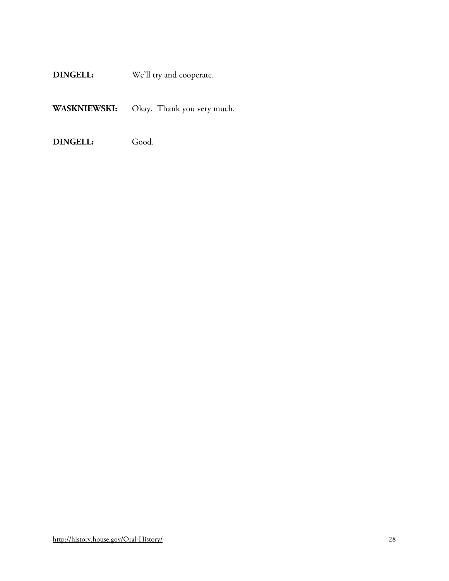**DINGELL:** We'll try and cooperate.

**WASKNIEWSKI:** Okay. Thank you very much.

**DINGELL:** Good.